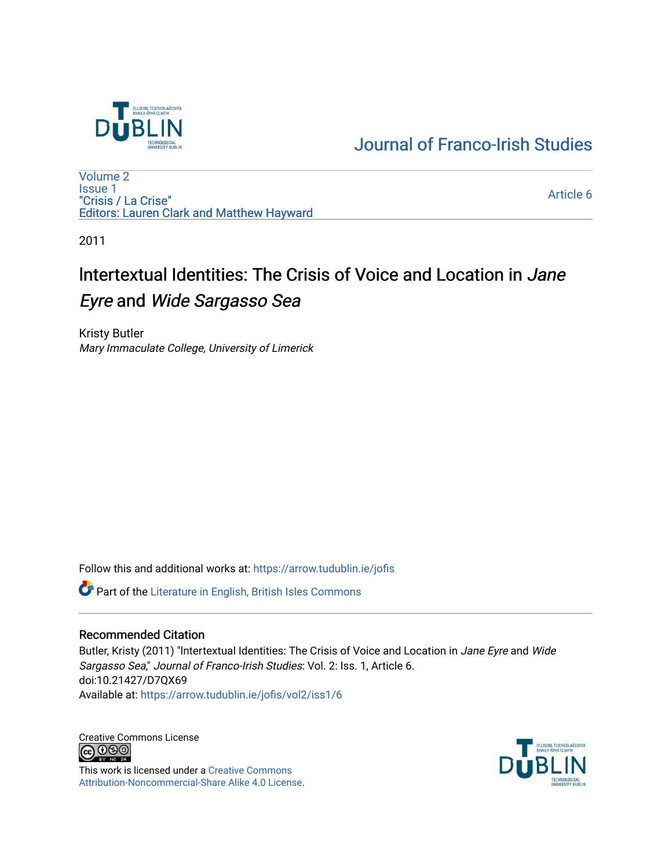

[Journal of Franco-Irish Studies](https://arrow.tudublin.ie/jofis) 

[Volume 2](https://arrow.tudublin.ie/jofis/vol2) [Issue 1](https://arrow.tudublin.ie/jofis/vol2/iss1) "Crisis / La Crise" Editors: Lauren Clark and Matthew Hayward

[Article 6](https://arrow.tudublin.ie/jofis/vol2/iss1/6) 

2011

## lntertextual Identities: The Crisis of Voice and Location in Jane Eyre and Wide Sargasso Sea

Kristy Butler Mary Immaculate College, University of Limerick

Follow this and additional works at: [https://arrow.tudublin.ie/jofis](https://arrow.tudublin.ie/jofis?utm_source=arrow.tudublin.ie%2Fjofis%2Fvol2%2Fiss1%2F6&utm_medium=PDF&utm_campaign=PDFCoverPages) 

Part of the [Literature in English, British Isles Commons](http://network.bepress.com/hgg/discipline/456?utm_source=arrow.tudublin.ie%2Fjofis%2Fvol2%2Fiss1%2F6&utm_medium=PDF&utm_campaign=PDFCoverPages)

## Recommended Citation

Butler, Kristy (2011) "Intertextual Identities: The Crisis of Voice and Location in Jane Eyre and Wide Sargasso Sea," Journal of Franco-Irish Studies: Vol. 2: Iss. 1, Article 6. doi:10.21427/D7QX69 Available at: [https://arrow.tudublin.ie/jofis/vol2/iss1/6](https://arrow.tudublin.ie/jofis/vol2/iss1/6?utm_source=arrow.tudublin.ie%2Fjofis%2Fvol2%2Fiss1%2F6&utm_medium=PDF&utm_campaign=PDFCoverPages) 

Creative Commons License<br>  $\bigcirc$  0 0 0

This work is licensed under a [Creative Commons](https://creativecommons.org/licenses/by-nc-sa/4.0/) [Attribution-Noncommercial-Share Alike 4.0 License](https://creativecommons.org/licenses/by-nc-sa/4.0/).

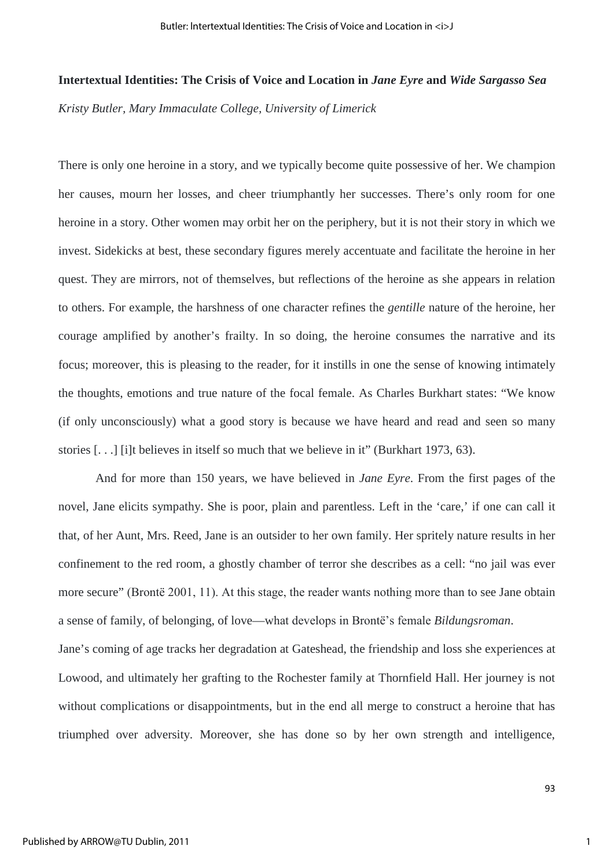## **Intertextual Identities: The Crisis of Voice and Location in** *Jane Eyre* **and** *Wide Sargasso Sea Kristy Butler, Mary Immaculate College, University of Limerick*

There is only one heroine in a story, and we typically become quite possessive of her. We champion her causes, mourn her losses, and cheer triumphantly her successes. There's only room for one heroine in a story. Other women may orbit her on the periphery, but it is not their story in which we invest. Sidekicks at best, these secondary figures merely accentuate and facilitate the heroine in her quest. They are mirrors, not of themselves, but reflections of the heroine as she appears in relation to others. For example, the harshness of one character refines the *gentille* nature of the heroine, her courage amplified by another's frailty. In so doing, the heroine consumes the narrative and its focus; moreover, this is pleasing to the reader, for it instills in one the sense of knowing intimately the thoughts, emotions and true nature of the focal female. As Charles Burkhart states: "We know (if only unconsciously) what a good story is because we have heard and read and seen so many stories [. . .] [i]t believes in itself so much that we believe in it" (Burkhart 1973, 63).

And for more than 150 years, we have believed in *Jane Eyre*. From the first pages of the novel, Jane elicits sympathy. She is poor, plain and parentless. Left in the 'care,' if one can call it that, of her Aunt, Mrs. Reed, Jane is an outsider to her own family. Her spritely nature results in her confinement to the red room, a ghostly chamber of terror she describes as a cell: "no jail was ever more secure" (Brontё 2001, 11). At this stage, the reader wants nothing more than to see Jane obtain a sense of family, of belonging, of love—what develops in Brontё's female *Bildungsroman*. Jane's coming of age tracks her degradation at Gateshead, the friendship and loss she experiences at Lowood, and ultimately her grafting to the Rochester family at Thornfield Hall. Her journey is not

triumphed over adversity. Moreover, she has done so by her own strength and intelligence,

without complications or disappointments, but in the end all merge to construct a heroine that has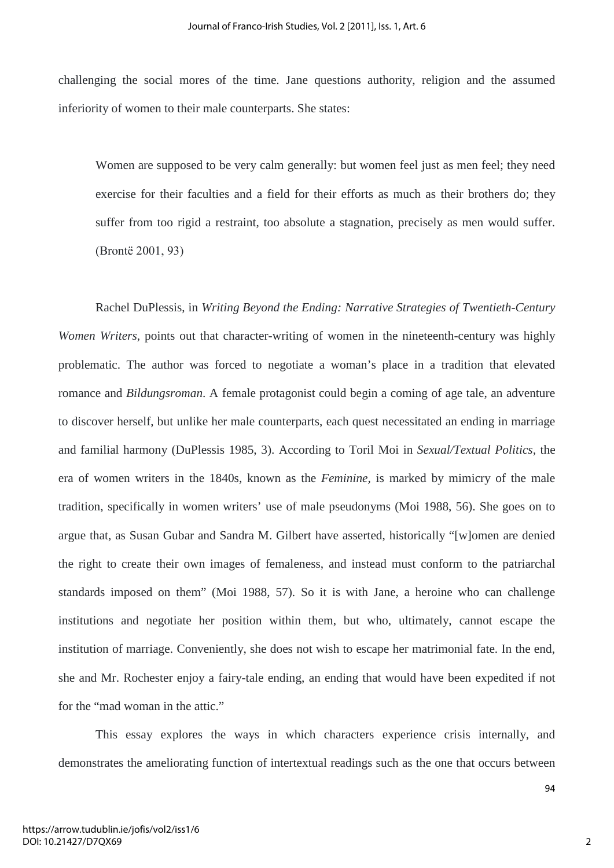challenging the social mores of the time. Jane questions authority, religion and the assumed inferiority of women to their male counterparts. She states:

Women are supposed to be very calm generally: but women feel just as men feel; they need exercise for their faculties and a field for their efforts as much as their brothers do; they suffer from too rigid a restraint, too absolute a stagnation, precisely as men would suffer. (Brontё 2001, 93)

Rachel DuPlessis, in *Writing Beyond the Ending: Narrative Strategies of Twentieth-Century Women Writers*, points out that character-writing of women in the nineteenth-century was highly problematic. The author was forced to negotiate a woman's place in a tradition that elevated romance and *Bildungsroman*. A female protagonist could begin a coming of age tale, an adventure to discover herself, but unlike her male counterparts, each quest necessitated an ending in marriage and familial harmony (DuPlessis 1985, 3). According to Toril Moi in *Sexual/Textual Politics,* the era of women writers in the 1840s, known as the *Feminine,* is marked by mimicry of the male tradition, specifically in women writers' use of male pseudonyms (Moi 1988, 56). She goes on to argue that, as Susan Gubar and Sandra M. Gilbert have asserted, historically "[w]omen are denied the right to create their own images of femaleness, and instead must conform to the patriarchal standards imposed on them" (Moi 1988, 57). So it is with Jane, a heroine who can challenge institutions and negotiate her position within them, but who, ultimately, cannot escape the institution of marriage. Conveniently, she does not wish to escape her matrimonial fate. In the end, she and Mr. Rochester enjoy a fairy-tale ending, an ending that would have been expedited if not for the "mad woman in the attic."

This essay explores the ways in which characters experience crisis internally, and demonstrates the ameliorating function of intertextual readings such as the one that occurs between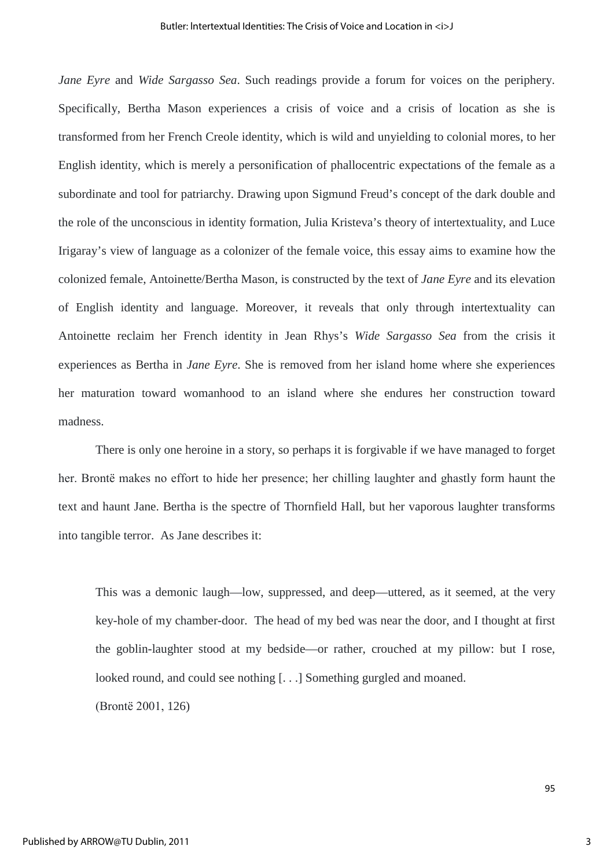*Jane Eyre* and *Wide Sargasso Sea*. Such readings provide a forum for voices on the periphery. Specifically, Bertha Mason experiences a crisis of voice and a crisis of location as she is transformed from her French Creole identity, which is wild and unyielding to colonial mores, to her English identity, which is merely a personification of phallocentric expectations of the female as a subordinate and tool for patriarchy. Drawing upon Sigmund Freud's concept of the dark double and the role of the unconscious in identity formation, Julia Kristeva's theory of intertextuality, and Luce Irigaray's view of language as a colonizer of the female voice, this essay aims to examine how the colonized female, Antoinette/Bertha Mason, is constructed by the text of *Jane Eyre* and its elevation of English identity and language. Moreover, it reveals that only through intertextuality can Antoinette reclaim her French identity in Jean Rhys's *Wide Sargasso Sea* from the crisis it experiences as Bertha in *Jane Eyre*. She is removed from her island home where she experiences her maturation toward womanhood to an island where she endures her construction toward madness.

There is only one heroine in a story, so perhaps it is forgivable if we have managed to forget her. Brontё makes no effort to hide her presence; her chilling laughter and ghastly form haunt the text and haunt Jane. Bertha is the spectre of Thornfield Hall, but her vaporous laughter transforms into tangible terror. As Jane describes it:

This was a demonic laugh—low, suppressed, and deep—uttered, as it seemed, at the very key-hole of my chamber-door. The head of my bed was near the door, and I thought at first the goblin-laughter stood at my bedside—or rather, crouched at my pillow: but I rose, looked round, and could see nothing [...] Something gurgled and moaned.

(Brontё 2001, 126)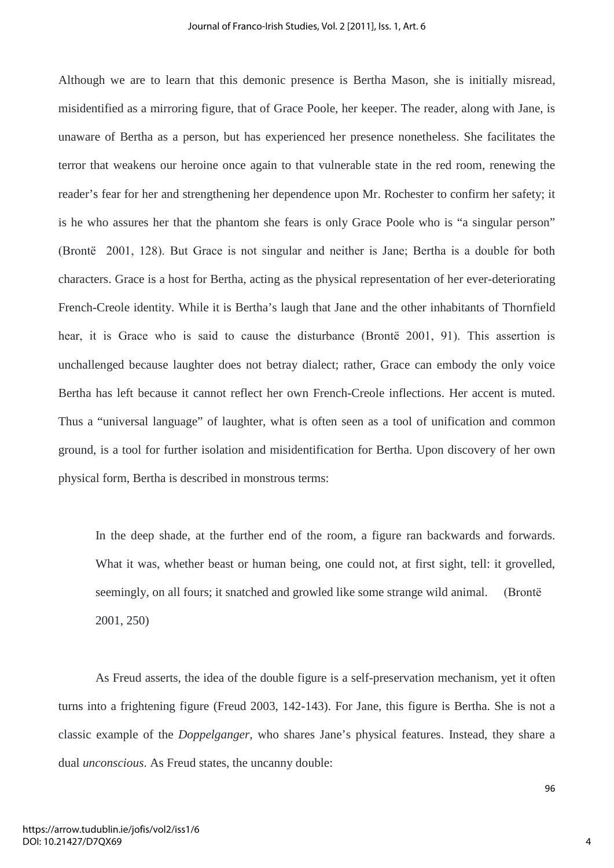Although we are to learn that this demonic presence is Bertha Mason, she is initially misread, misidentified as a mirroring figure, that of Grace Poole, her keeper. The reader, along with Jane, is unaware of Bertha as a person, but has experienced her presence nonetheless. She facilitates the terror that weakens our heroine once again to that vulnerable state in the red room, renewing the reader's fear for her and strengthening her dependence upon Mr. Rochester to confirm her safety; it is he who assures her that the phantom she fears is only Grace Poole who is "a singular person" (Brontё 2001, 128). But Grace is not singular and neither is Jane; Bertha is a double for both characters. Grace is a host for Bertha, acting as the physical representation of her ever-deteriorating French-Creole identity. While it is Bertha's laugh that Jane and the other inhabitants of Thornfield hear, it is Grace who is said to cause the disturbance (Brontё 2001, 91). This assertion is unchallenged because laughter does not betray dialect; rather, Grace can embody the only voice Bertha has left because it cannot reflect her own French-Creole inflections. Her accent is muted. Thus a "universal language" of laughter, what is often seen as a tool of unification and common ground, is a tool for further isolation and misidentification for Bertha. Upon discovery of her own physical form, Bertha is described in monstrous terms:

In the deep shade, at the further end of the room, a figure ran backwards and forwards. What it was, whether beast or human being, one could not, at first sight, tell: it grovelled, seemingly, on all fours; it snatched and growled like some strange wild animal. (Brontё 2001, 250)

 As Freud asserts, the idea of the double figure is a self-preservation mechanism, yet it often turns into a frightening figure (Freud 2003, 142-143). For Jane, this figure is Bertha. She is not a classic example of the *Doppelganger*, who shares Jane's physical features. Instead, they share a dual *unconscious*. As Freud states, the uncanny double: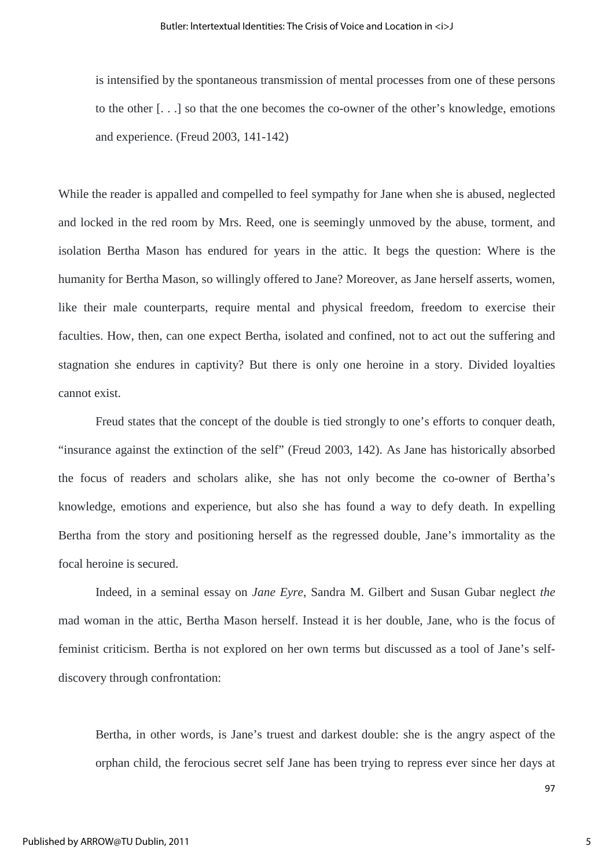is intensified by the spontaneous transmission of mental processes from one of these persons to the other [. . .] so that the one becomes the co-owner of the other's knowledge, emotions and experience. (Freud 2003, 141-142)

While the reader is appalled and compelled to feel sympathy for Jane when she is abused, neglected and locked in the red room by Mrs. Reed, one is seemingly unmoved by the abuse, torment, and isolation Bertha Mason has endured for years in the attic. It begs the question: Where is the humanity for Bertha Mason, so willingly offered to Jane? Moreover, as Jane herself asserts, women, like their male counterparts, require mental and physical freedom, freedom to exercise their faculties. How, then, can one expect Bertha, isolated and confined, not to act out the suffering and stagnation she endures in captivity? But there is only one heroine in a story. Divided loyalties cannot exist.

Freud states that the concept of the double is tied strongly to one's efforts to conquer death, "insurance against the extinction of the self" (Freud 2003, 142). As Jane has historically absorbed the focus of readers and scholars alike, she has not only become the co-owner of Bertha's knowledge, emotions and experience, but also she has found a way to defy death. In expelling Bertha from the story and positioning herself as the regressed double, Jane's immortality as the focal heroine is secured.

Indeed, in a seminal essay on *Jane Eyre*, Sandra M. Gilbert and Susan Gubar neglect *the* mad woman in the attic, Bertha Mason herself. Instead it is her double, Jane, who is the focus of feminist criticism. Bertha is not explored on her own terms but discussed as a tool of Jane's selfdiscovery through confrontation:

Bertha, in other words, is Jane's truest and darkest double: she is the angry aspect of the orphan child, the ferocious secret self Jane has been trying to repress ever since her days at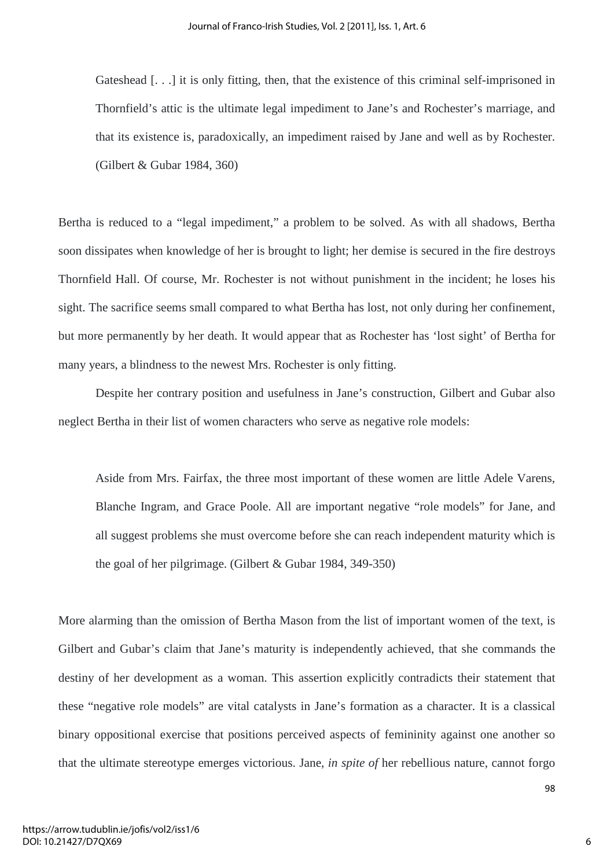Gateshead [...] it is only fitting, then, that the existence of this criminal self-imprisoned in Thornfield's attic is the ultimate legal impediment to Jane's and Rochester's marriage, and that its existence is, paradoxically, an impediment raised by Jane and well as by Rochester. (Gilbert & Gubar 1984, 360)

Bertha is reduced to a "legal impediment," a problem to be solved. As with all shadows, Bertha soon dissipates when knowledge of her is brought to light; her demise is secured in the fire destroys Thornfield Hall. Of course, Mr. Rochester is not without punishment in the incident; he loses his sight. The sacrifice seems small compared to what Bertha has lost, not only during her confinement, but more permanently by her death. It would appear that as Rochester has 'lost sight' of Bertha for many years, a blindness to the newest Mrs. Rochester is only fitting.

Despite her contrary position and usefulness in Jane's construction, Gilbert and Gubar also neglect Bertha in their list of women characters who serve as negative role models:

Aside from Mrs. Fairfax, the three most important of these women are little Adele Varens, Blanche Ingram, and Grace Poole. All are important negative "role models" for Jane, and all suggest problems she must overcome before she can reach independent maturity which is the goal of her pilgrimage. (Gilbert & Gubar 1984, 349-350)

More alarming than the omission of Bertha Mason from the list of important women of the text, is Gilbert and Gubar's claim that Jane's maturity is independently achieved, that she commands the destiny of her development as a woman. This assertion explicitly contradicts their statement that these "negative role models" are vital catalysts in Jane's formation as a character. It is a classical binary oppositional exercise that positions perceived aspects of femininity against one another so that the ultimate stereotype emerges victorious. Jane, *in spite of* her rebellious nature, cannot forgo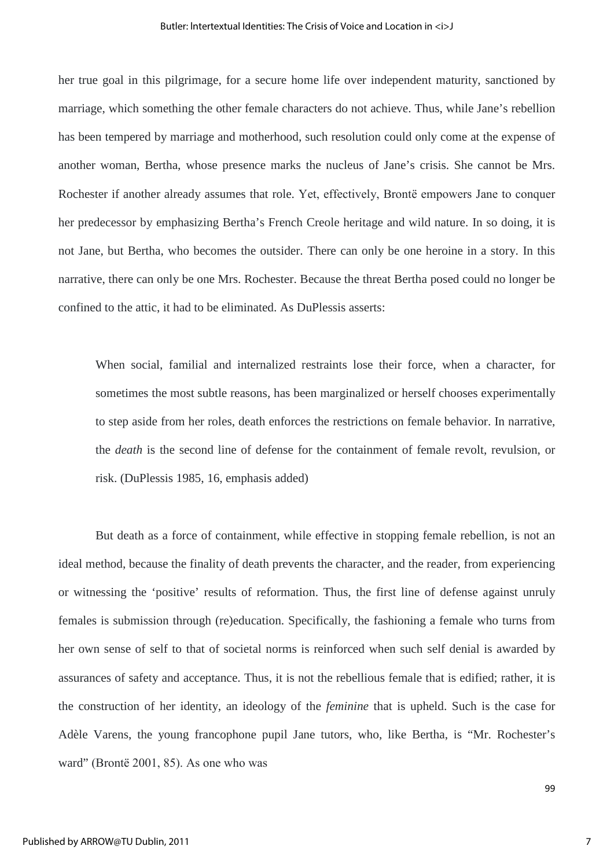her true goal in this pilgrimage, for a secure home life over independent maturity, sanctioned by marriage, which something the other female characters do not achieve. Thus, while Jane's rebellion has been tempered by marriage and motherhood, such resolution could only come at the expense of another woman, Bertha, whose presence marks the nucleus of Jane's crisis. She cannot be Mrs. Rochester if another already assumes that role. Yet, effectively, Brontё empowers Jane to conquer her predecessor by emphasizing Bertha's French Creole heritage and wild nature. In so doing, it is not Jane, but Bertha, who becomes the outsider. There can only be one heroine in a story. In this narrative, there can only be one Mrs. Rochester. Because the threat Bertha posed could no longer be confined to the attic, it had to be eliminated. As DuPlessis asserts:

When social, familial and internalized restraints lose their force, when a character, for sometimes the most subtle reasons, has been marginalized or herself chooses experimentally to step aside from her roles, death enforces the restrictions on female behavior. In narrative, the *death* is the second line of defense for the containment of female revolt, revulsion, or risk. (DuPlessis 1985, 16, emphasis added)

But death as a force of containment, while effective in stopping female rebellion, is not an ideal method, because the finality of death prevents the character, and the reader, from experiencing or witnessing the 'positive' results of reformation. Thus, the first line of defense against unruly females is submission through (re)education. Specifically, the fashioning a female who turns from her own sense of self to that of societal norms is reinforced when such self denial is awarded by assurances of safety and acceptance. Thus, it is not the rebellious female that is edified; rather, it is the construction of her identity, an ideology of the *feminine* that is upheld. Such is the case for Adèle Varens, the young francophone pupil Jane tutors, who, like Bertha, is "Mr. Rochester's ward" (Brontё 2001, 85). As one who was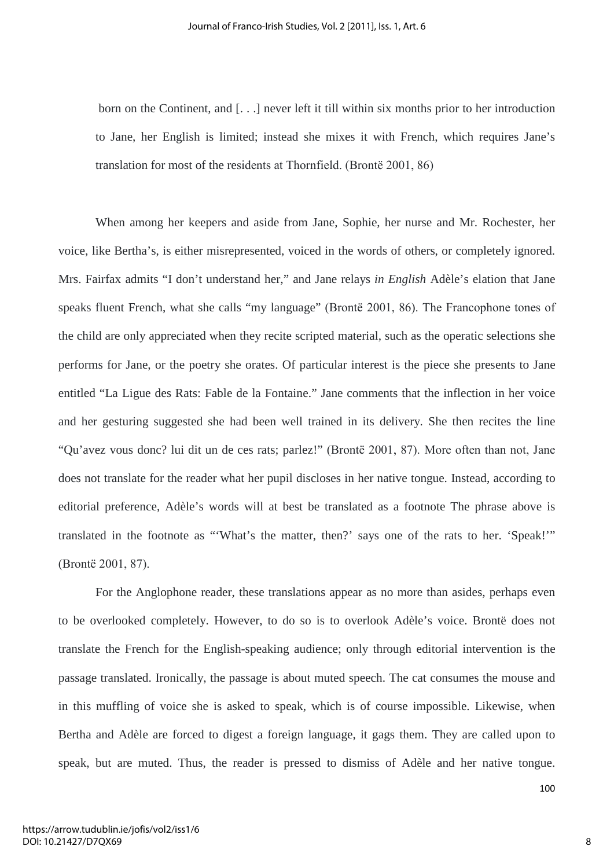born on the Continent, and [. . .] never left it till within six months prior to her introduction to Jane, her English is limited; instead she mixes it with French, which requires Jane's translation for most of the residents at Thornfield. (Brontё 2001, 86)

When among her keepers and aside from Jane, Sophie, her nurse and Mr. Rochester, her voice, like Bertha's, is either misrepresented, voiced in the words of others, or completely ignored. Mrs. Fairfax admits "I don't understand her," and Jane relays *in English* Adèle's elation that Jane speaks fluent French, what she calls "my language" (Brontё 2001, 86). The Francophone tones of the child are only appreciated when they recite scripted material, such as the operatic selections she performs for Jane, or the poetry she orates. Of particular interest is the piece she presents to Jane entitled "La Ligue des Rats: Fable de la Fontaine." Jane comments that the inflection in her voice and her gesturing suggested she had been well trained in its delivery. She then recites the line "Qu'avez vous donc? lui dit un de ces rats; parlez!" (Brontё 2001, 87). More often than not, Jane does not translate for the reader what her pupil discloses in her native tongue. Instead, according to editorial preference, Adèle's words will at best be translated as a footnote The phrase above is translated in the footnote as "'What's the matter, then?' says one of the rats to her. 'Speak!'" (Brontё 2001, 87).

For the Anglophone reader, these translations appear as no more than asides, perhaps even to be overlooked completely. However, to do so is to overlook Adèle's voice. Brontë does not translate the French for the English-speaking audience; only through editorial intervention is the passage translated. Ironically, the passage is about muted speech. The cat consumes the mouse and in this muffling of voice she is asked to speak, which is of course impossible. Likewise, when Bertha and Adèle are forced to digest a foreign language, it gags them. They are called upon to speak, but are muted. Thus, the reader is pressed to dismiss of Adèle and her native tongue.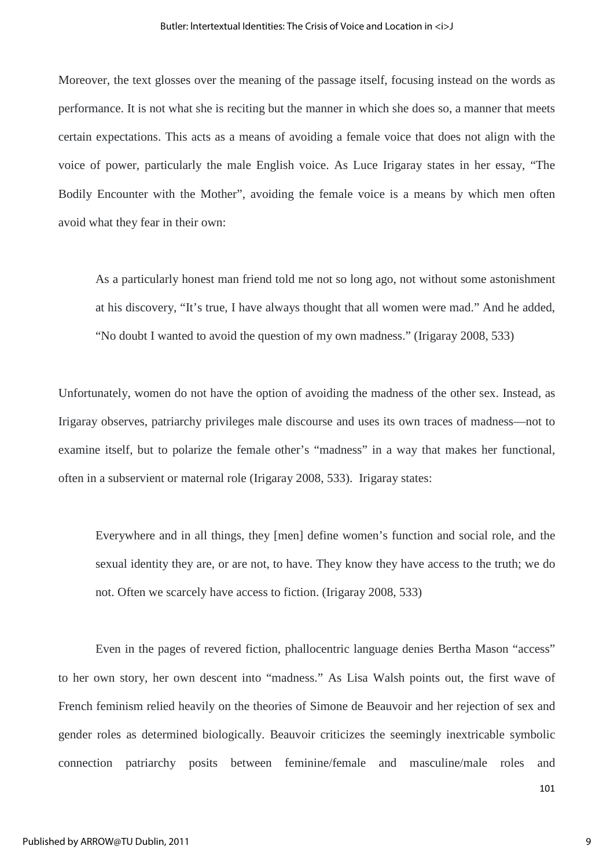Moreover, the text glosses over the meaning of the passage itself, focusing instead on the words as performance. It is not what she is reciting but the manner in which she does so, a manner that meets certain expectations. This acts as a means of avoiding a female voice that does not align with the voice of power, particularly the male English voice. As Luce Irigaray states in her essay, "The Bodily Encounter with the Mother", avoiding the female voice is a means by which men often avoid what they fear in their own:

As a particularly honest man friend told me not so long ago, not without some astonishment at his discovery, "It's true, I have always thought that all women were mad." And he added, "No doubt I wanted to avoid the question of my own madness." (Irigaray 2008, 533)

Unfortunately, women do not have the option of avoiding the madness of the other sex. Instead, as Irigaray observes, patriarchy privileges male discourse and uses its own traces of madness—not to examine itself, but to polarize the female other's "madness" in a way that makes her functional, often in a subservient or maternal role (Irigaray 2008, 533). Irigaray states:

Everywhere and in all things, they [men] define women's function and social role, and the sexual identity they are, or are not, to have. They know they have access to the truth; we do not. Often we scarcely have access to fiction. (Irigaray 2008, 533)

Even in the pages of revered fiction, phallocentric language denies Bertha Mason "access" to her own story, her own descent into "madness." As Lisa Walsh points out, the first wave of French feminism relied heavily on the theories of Simone de Beauvoir and her rejection of sex and gender roles as determined biologically. Beauvoir criticizes the seemingly inextricable symbolic connection patriarchy posits between feminine/female and masculine/male roles and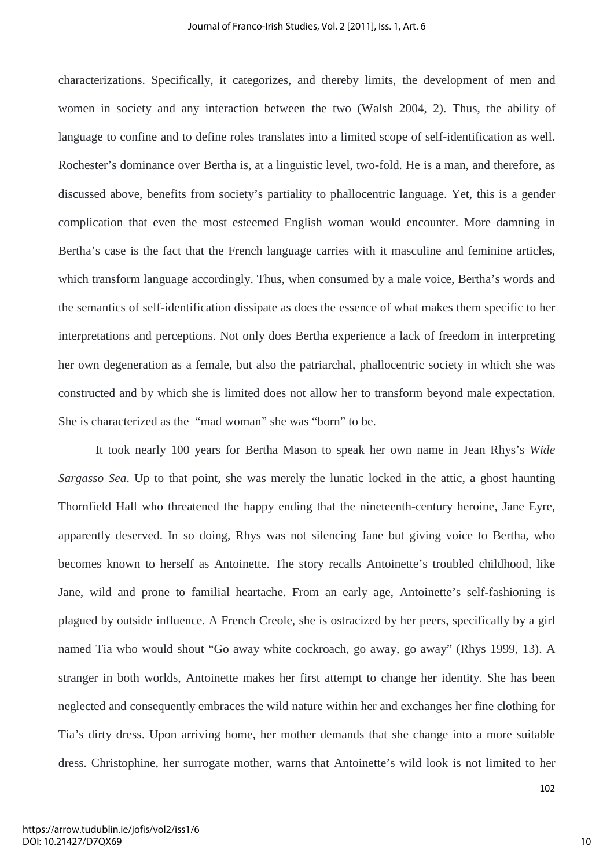characterizations. Specifically, it categorizes, and thereby limits, the development of men and women in society and any interaction between the two (Walsh 2004, 2). Thus, the ability of language to confine and to define roles translates into a limited scope of self-identification as well. Rochester's dominance over Bertha is, at a linguistic level, two-fold. He is a man, and therefore, as discussed above, benefits from society's partiality to phallocentric language. Yet, this is a gender complication that even the most esteemed English woman would encounter. More damning in Bertha's case is the fact that the French language carries with it masculine and feminine articles, which transform language accordingly. Thus, when consumed by a male voice, Bertha's words and the semantics of self-identification dissipate as does the essence of what makes them specific to her interpretations and perceptions. Not only does Bertha experience a lack of freedom in interpreting her own degeneration as a female, but also the patriarchal, phallocentric society in which she was constructed and by which she is limited does not allow her to transform beyond male expectation. She is characterized as the "mad woman" she was "born" to be.

It took nearly 100 years for Bertha Mason to speak her own name in Jean Rhys's *Wide Sargasso Sea*. Up to that point, she was merely the lunatic locked in the attic, a ghost haunting Thornfield Hall who threatened the happy ending that the nineteenth-century heroine, Jane Eyre, apparently deserved. In so doing, Rhys was not silencing Jane but giving voice to Bertha, who becomes known to herself as Antoinette. The story recalls Antoinette's troubled childhood, like Jane, wild and prone to familial heartache. From an early age, Antoinette's self-fashioning is plagued by outside influence. A French Creole, she is ostracized by her peers, specifically by a girl named Tia who would shout "Go away white cockroach, go away, go away" (Rhys 1999, 13). A stranger in both worlds, Antoinette makes her first attempt to change her identity. She has been neglected and consequently embraces the wild nature within her and exchanges her fine clothing for Tia's dirty dress. Upon arriving home, her mother demands that she change into a more suitable dress. Christophine, her surrogate mother, warns that Antoinette's wild look is not limited to her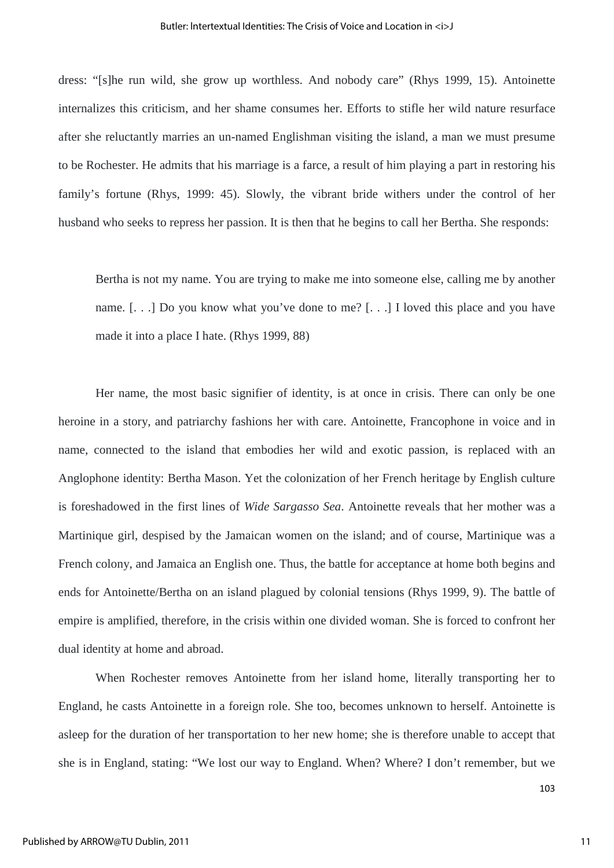dress: "[s]he run wild, she grow up worthless. And nobody care" (Rhys 1999, 15). Antoinette internalizes this criticism, and her shame consumes her. Efforts to stifle her wild nature resurface after she reluctantly marries an un-named Englishman visiting the island, a man we must presume to be Rochester. He admits that his marriage is a farce, a result of him playing a part in restoring his family's fortune (Rhys, 1999: 45). Slowly, the vibrant bride withers under the control of her husband who seeks to repress her passion. It is then that he begins to call her Bertha. She responds:

Bertha is not my name. You are trying to make me into someone else, calling me by another name. [. . .] Do you know what you've done to me? [. . .] I loved this place and you have made it into a place I hate. (Rhys 1999, 88)

Her name, the most basic signifier of identity, is at once in crisis. There can only be one heroine in a story, and patriarchy fashions her with care. Antoinette, Francophone in voice and in name, connected to the island that embodies her wild and exotic passion, is replaced with an Anglophone identity: Bertha Mason. Yet the colonization of her French heritage by English culture is foreshadowed in the first lines of *Wide Sargasso Sea*. Antoinette reveals that her mother was a Martinique girl, despised by the Jamaican women on the island; and of course, Martinique was a French colony, and Jamaica an English one. Thus, the battle for acceptance at home both begins and ends for Antoinette/Bertha on an island plagued by colonial tensions (Rhys 1999, 9). The battle of empire is amplified, therefore, in the crisis within one divided woman. She is forced to confront her dual identity at home and abroad.

When Rochester removes Antoinette from her island home, literally transporting her to England, he casts Antoinette in a foreign role. She too, becomes unknown to herself. Antoinette is asleep for the duration of her transportation to her new home; she is therefore unable to accept that she is in England, stating: "We lost our way to England. When? Where? I don't remember, but we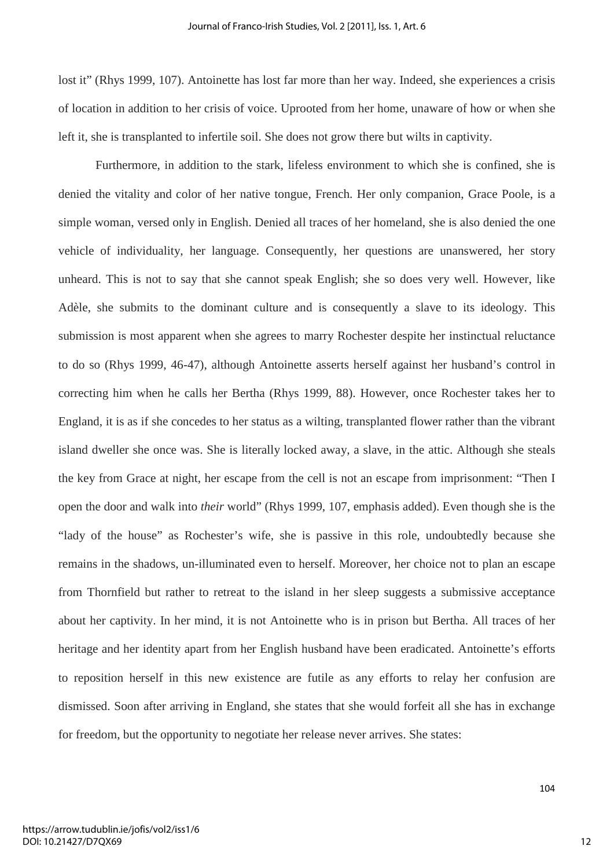lost it" (Rhys 1999, 107). Antoinette has lost far more than her way. Indeed, she experiences a crisis of location in addition to her crisis of voice. Uprooted from her home, unaware of how or when she left it, she is transplanted to infertile soil. She does not grow there but wilts in captivity.

Furthermore, in addition to the stark, lifeless environment to which she is confined, she is denied the vitality and color of her native tongue, French. Her only companion, Grace Poole, is a simple woman, versed only in English. Denied all traces of her homeland, she is also denied the one vehicle of individuality, her language. Consequently, her questions are unanswered, her story unheard. This is not to say that she cannot speak English; she so does very well. However, like Adèle, she submits to the dominant culture and is consequently a slave to its ideology. This submission is most apparent when she agrees to marry Rochester despite her instinctual reluctance to do so (Rhys 1999, 46-47), although Antoinette asserts herself against her husband's control in correcting him when he calls her Bertha (Rhys 1999, 88). However, once Rochester takes her to England, it is as if she concedes to her status as a wilting, transplanted flower rather than the vibrant island dweller she once was. She is literally locked away, a slave, in the attic. Although she steals the key from Grace at night, her escape from the cell is not an escape from imprisonment: "Then I open the door and walk into *their* world" (Rhys 1999, 107, emphasis added). Even though she is the "lady of the house" as Rochester's wife, she is passive in this role, undoubtedly because she remains in the shadows, un-illuminated even to herself. Moreover, her choice not to plan an escape from Thornfield but rather to retreat to the island in her sleep suggests a submissive acceptance about her captivity. In her mind, it is not Antoinette who is in prison but Bertha. All traces of her heritage and her identity apart from her English husband have been eradicated. Antoinette's efforts to reposition herself in this new existence are futile as any efforts to relay her confusion are dismissed. Soon after arriving in England, she states that she would forfeit all she has in exchange for freedom, but the opportunity to negotiate her release never arrives. She states: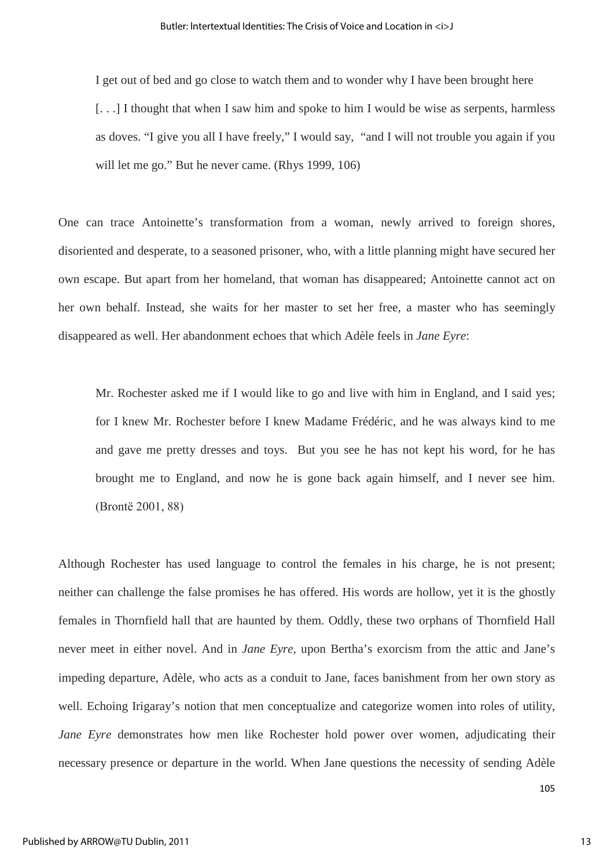I get out of bed and go close to watch them and to wonder why I have been brought here [...] I thought that when I saw him and spoke to him I would be wise as serpents, harmless as doves. "I give you all I have freely," I would say, "and I will not trouble you again if you will let me go." But he never came. (Rhys 1999, 106)

One can trace Antoinette's transformation from a woman, newly arrived to foreign shores, disoriented and desperate, to a seasoned prisoner, who, with a little planning might have secured her own escape. But apart from her homeland, that woman has disappeared; Antoinette cannot act on her own behalf. Instead, she waits for her master to set her free, a master who has seemingly disappeared as well. Her abandonment echoes that which Adèle feels in *Jane Eyre*:

Mr. Rochester asked me if I would like to go and live with him in England, and I said yes; for I knew Mr. Rochester before I knew Madame Frédéric, and he was always kind to me and gave me pretty dresses and toys. But you see he has not kept his word, for he has brought me to England, and now he is gone back again himself, and I never see him. (Brontё 2001, 88)

Although Rochester has used language to control the females in his charge, he is not present; neither can challenge the false promises he has offered. His words are hollow, yet it is the ghostly females in Thornfield hall that are haunted by them. Oddly, these two orphans of Thornfield Hall never meet in either novel. And in *Jane Eyre,* upon Bertha's exorcism from the attic and Jane's impeding departure, Adèle, who acts as a conduit to Jane, faces banishment from her own story as well. Echoing Irigaray's notion that men conceptualize and categorize women into roles of utility, *Jane Eyre* demonstrates how men like Rochester hold power over women, adjudicating their necessary presence or departure in the world. When Jane questions the necessity of sending Adèle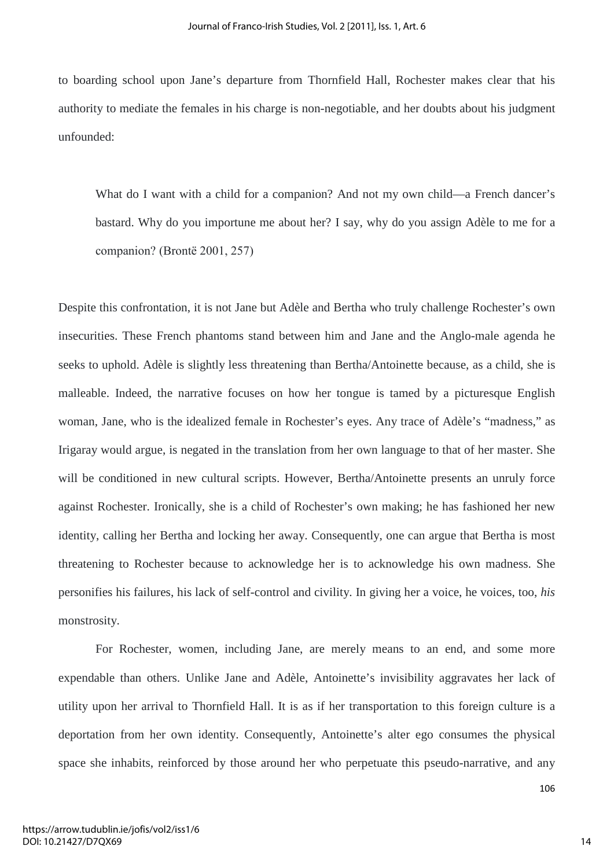to boarding school upon Jane's departure from Thornfield Hall, Rochester makes clear that his authority to mediate the females in his charge is non-negotiable, and her doubts about his judgment unfounded:

What do I want with a child for a companion? And not my own child—a French dancer's bastard. Why do you importune me about her? I say, why do you assign Adèle to me for a companion? (Brontё 2001, 257)

Despite this confrontation, it is not Jane but Adèle and Bertha who truly challenge Rochester's own insecurities. These French phantoms stand between him and Jane and the Anglo-male agenda he seeks to uphold. Adèle is slightly less threatening than Bertha/Antoinette because, as a child, she is malleable. Indeed, the narrative focuses on how her tongue is tamed by a picturesque English woman, Jane, who is the idealized female in Rochester's eyes. Any trace of Adèle's "madness," as Irigaray would argue, is negated in the translation from her own language to that of her master. She will be conditioned in new cultural scripts. However, Bertha/Antoinette presents an unruly force against Rochester. Ironically, she is a child of Rochester's own making; he has fashioned her new identity, calling her Bertha and locking her away. Consequently, one can argue that Bertha is most threatening to Rochester because to acknowledge her is to acknowledge his own madness. She personifies his failures, his lack of self-control and civility. In giving her a voice, he voices, too, *his* monstrosity.

For Rochester, women, including Jane, are merely means to an end, and some more expendable than others. Unlike Jane and Adèle, Antoinette's invisibility aggravates her lack of utility upon her arrival to Thornfield Hall. It is as if her transportation to this foreign culture is a deportation from her own identity. Consequently, Antoinette's alter ego consumes the physical space she inhabits, reinforced by those around her who perpetuate this pseudo-narrative, and any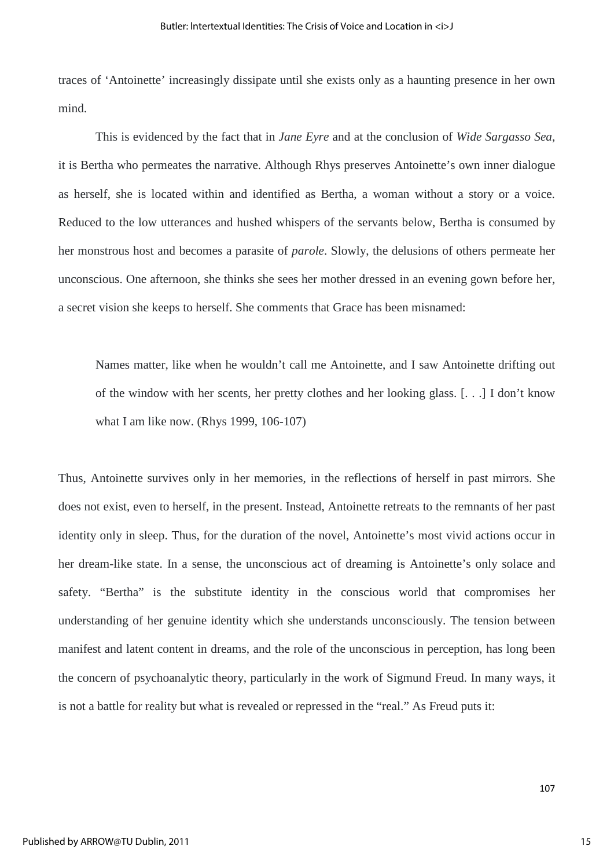traces of 'Antoinette' increasingly dissipate until she exists only as a haunting presence in her own mind.

This is evidenced by the fact that in *Jane Eyre* and at the conclusion of *Wide Sargasso Sea*, it is Bertha who permeates the narrative. Although Rhys preserves Antoinette's own inner dialogue as herself, she is located within and identified as Bertha, a woman without a story or a voice. Reduced to the low utterances and hushed whispers of the servants below, Bertha is consumed by her monstrous host and becomes a parasite of *parole*. Slowly, the delusions of others permeate her unconscious. One afternoon, she thinks she sees her mother dressed in an evening gown before her, a secret vision she keeps to herself. She comments that Grace has been misnamed:

Names matter, like when he wouldn't call me Antoinette, and I saw Antoinette drifting out of the window with her scents, her pretty clothes and her looking glass. [. . .] I don't know what I am like now. (Rhys 1999, 106-107)

Thus, Antoinette survives only in her memories, in the reflections of herself in past mirrors. She does not exist, even to herself, in the present. Instead, Antoinette retreats to the remnants of her past identity only in sleep. Thus, for the duration of the novel, Antoinette's most vivid actions occur in her dream-like state. In a sense, the unconscious act of dreaming is Antoinette's only solace and safety. "Bertha" is the substitute identity in the conscious world that compromises her understanding of her genuine identity which she understands unconsciously. The tension between manifest and latent content in dreams, and the role of the unconscious in perception, has long been the concern of psychoanalytic theory, particularly in the work of Sigmund Freud. In many ways, it is not a battle for reality but what is revealed or repressed in the "real." As Freud puts it: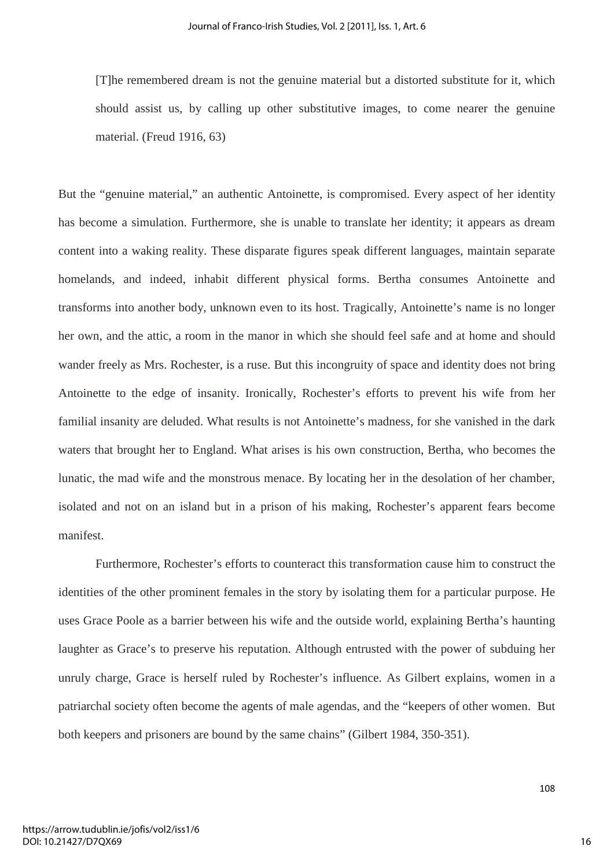[T]he remembered dream is not the genuine material but a distorted substitute for it, which should assist us, by calling up other substitutive images, to come nearer the genuine material. (Freud 1916, 63)

But the "genuine material," an authentic Antoinette, is compromised. Every aspect of her identity has become a simulation. Furthermore, she is unable to translate her identity; it appears as dream content into a waking reality. These disparate figures speak different languages, maintain separate homelands, and indeed, inhabit different physical forms. Bertha consumes Antoinette and transforms into another body, unknown even to its host. Tragically, Antoinette's name is no longer her own, and the attic, a room in the manor in which she should feel safe and at home and should wander freely as Mrs. Rochester, is a ruse. But this incongruity of space and identity does not bring Antoinette to the edge of insanity. Ironically, Rochester's efforts to prevent his wife from her familial insanity are deluded. What results is not Antoinette's madness, for she vanished in the dark waters that brought her to England. What arises is his own construction, Bertha, who becomes the lunatic, the mad wife and the monstrous menace. By locating her in the desolation of her chamber, isolated and not on an island but in a prison of his making, Rochester's apparent fears become manifest.

Furthermore, Rochester's efforts to counteract this transformation cause him to construct the identities of the other prominent females in the story by isolating them for a particular purpose. He uses Grace Poole as a barrier between his wife and the outside world, explaining Bertha's haunting laughter as Grace's to preserve his reputation. Although entrusted with the power of subduing her unruly charge, Grace is herself ruled by Rochester's influence. As Gilbert explains, women in a patriarchal society often become the agents of male agendas, and the "keepers of other women. But both keepers and prisoners are bound by the same chains" (Gilbert 1984, 350-351).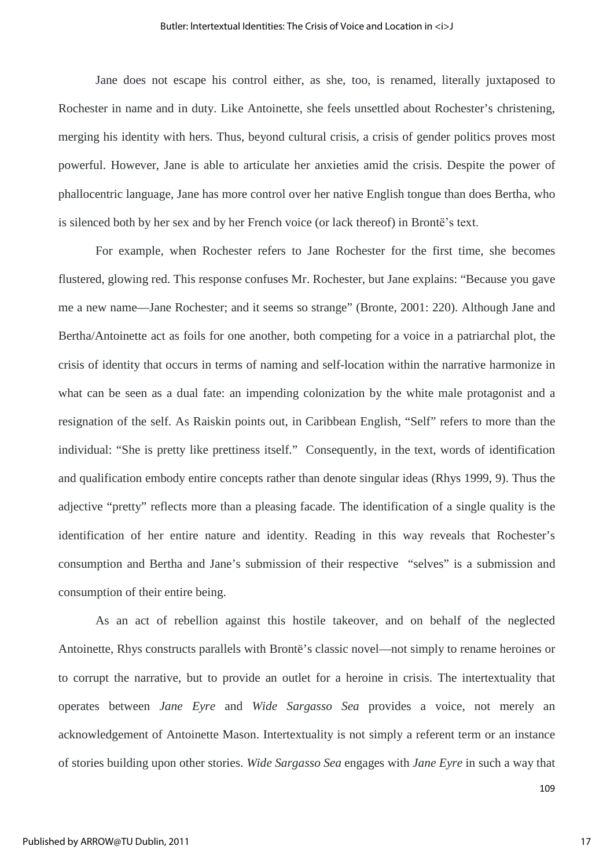Jane does not escape his control either, as she, too, is renamed, literally juxtaposed to Rochester in name and in duty. Like Antoinette, she feels unsettled about Rochester's christening, merging his identity with hers. Thus, beyond cultural crisis, a crisis of gender politics proves most powerful. However, Jane is able to articulate her anxieties amid the crisis. Despite the power of phallocentric language, Jane has more control over her native English tongue than does Bertha, who is silenced both by her sex and by her French voice (or lack thereof) in Brontё's text.

For example, when Rochester refers to Jane Rochester for the first time, she becomes flustered, glowing red. This response confuses Mr. Rochester, but Jane explains: "Because you gave me a new name—Jane Rochester; and it seems so strange" (Bronte, 2001: 220). Although Jane and Bertha/Antoinette act as foils for one another, both competing for a voice in a patriarchal plot, the crisis of identity that occurs in terms of naming and self-location within the narrative harmonize in what can be seen as a dual fate: an impending colonization by the white male protagonist and a resignation of the self. As Raiskin points out, in Caribbean English, "Self" refers to more than the individual: "She is pretty like prettiness itself." Consequently, in the text, words of identification and qualification embody entire concepts rather than denote singular ideas (Rhys 1999, 9). Thus the adjective "pretty" reflects more than a pleasing facade. The identification of a single quality is the identification of her entire nature and identity. Reading in this way reveals that Rochester's consumption and Bertha and Jane's submission of their respective "selves" is a submission and consumption of their entire being.

As an act of rebellion against this hostile takeover, and on behalf of the neglected Antoinette, Rhys constructs parallels with Brontë's classic novel—not simply to rename heroines or to corrupt the narrative, but to provide an outlet for a heroine in crisis. The intertextuality that operates between *Jane Eyre* and *Wide Sargasso Sea* provides a voice, not merely an acknowledgement of Antoinette Mason. Intertextuality is not simply a referent term or an instance of stories building upon other stories. *Wide Sargasso Sea* engages with *Jane Eyre* in such a way that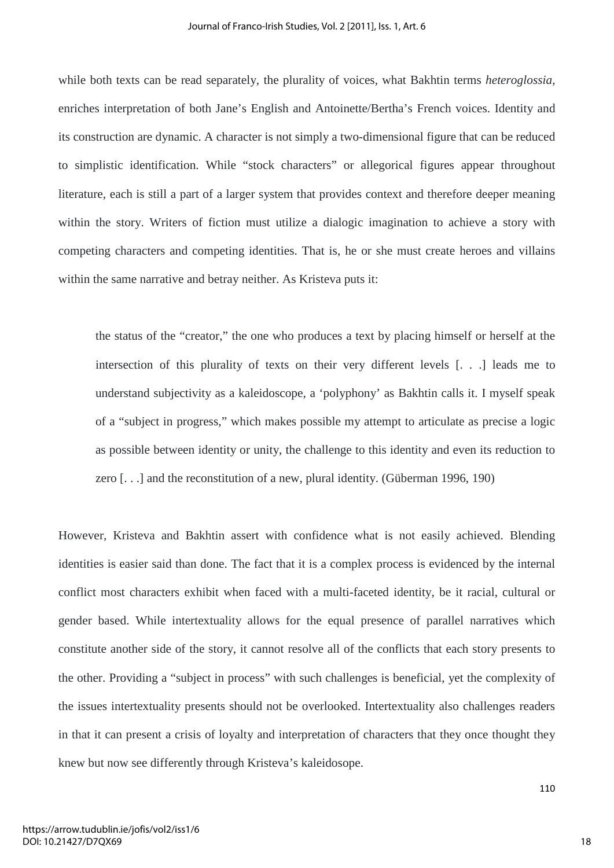while both texts can be read separately, the plurality of voices, what Bakhtin terms *heteroglossia*, enriches interpretation of both Jane's English and Antoinette/Bertha's French voices. Identity and its construction are dynamic. A character is not simply a two-dimensional figure that can be reduced to simplistic identification. While "stock characters" or allegorical figures appear throughout literature, each is still a part of a larger system that provides context and therefore deeper meaning within the story. Writers of fiction must utilize a dialogic imagination to achieve a story with competing characters and competing identities. That is, he or she must create heroes and villains within the same narrative and betray neither. As Kristeva puts it:

the status of the "creator," the one who produces a text by placing himself or herself at the intersection of this plurality of texts on their very different levels [. . .] leads me to understand subjectivity as a kaleidoscope, a 'polyphony' as Bakhtin calls it. I myself speak of a "subject in progress," which makes possible my attempt to articulate as precise a logic as possible between identity or unity, the challenge to this identity and even its reduction to zero [. . .] and the reconstitution of a new, plural identity. (Güberman 1996, 190)

However, Kristeva and Bakhtin assert with confidence what is not easily achieved. Blending identities is easier said than done. The fact that it is a complex process is evidenced by the internal conflict most characters exhibit when faced with a multi-faceted identity, be it racial, cultural or gender based. While intertextuality allows for the equal presence of parallel narratives which constitute another side of the story, it cannot resolve all of the conflicts that each story presents to the other. Providing a "subject in process" with such challenges is beneficial, yet the complexity of the issues intertextuality presents should not be overlooked. Intertextuality also challenges readers in that it can present a crisis of loyalty and interpretation of characters that they once thought they knew but now see differently through Kristeva's kaleidosope.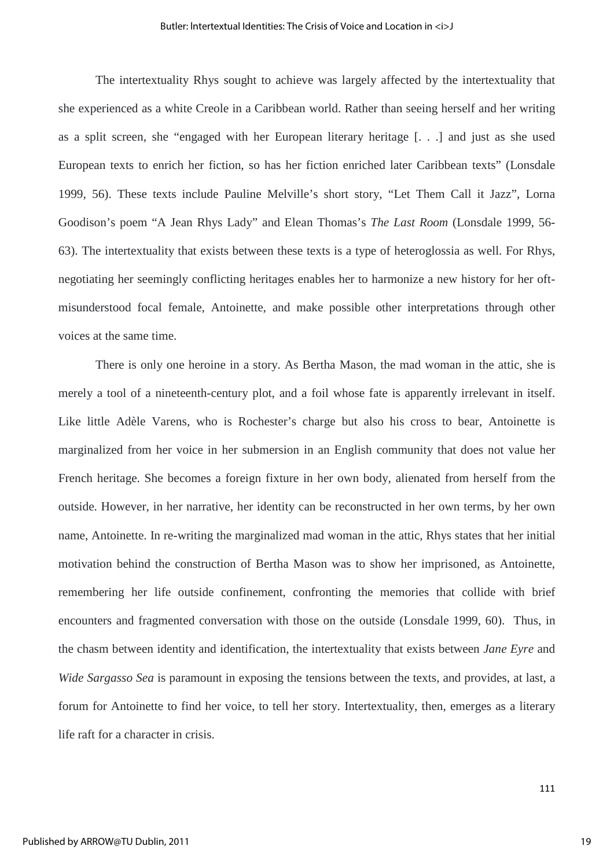The intertextuality Rhys sought to achieve was largely affected by the intertextuality that she experienced as a white Creole in a Caribbean world. Rather than seeing herself and her writing as a split screen, she "engaged with her European literary heritage [. . .] and just as she used European texts to enrich her fiction, so has her fiction enriched later Caribbean texts" (Lonsdale 1999, 56). These texts include Pauline Melville's short story, "Let Them Call it Jazz", Lorna Goodison's poem "A Jean Rhys Lady" and Elean Thomas's *The Last Room* (Lonsdale 1999, 56- 63). The intertextuality that exists between these texts is a type of heteroglossia as well. For Rhys, negotiating her seemingly conflicting heritages enables her to harmonize a new history for her oftmisunderstood focal female, Antoinette, and make possible other interpretations through other voices at the same time.

There is only one heroine in a story. As Bertha Mason, the mad woman in the attic, she is merely a tool of a nineteenth-century plot, and a foil whose fate is apparently irrelevant in itself. Like little Adèle Varens, who is Rochester's charge but also his cross to bear, Antoinette is marginalized from her voice in her submersion in an English community that does not value her French heritage. She becomes a foreign fixture in her own body, alienated from herself from the outside. However, in her narrative, her identity can be reconstructed in her own terms, by her own name, Antoinette. In re-writing the marginalized mad woman in the attic, Rhys states that her initial motivation behind the construction of Bertha Mason was to show her imprisoned, as Antoinette, remembering her life outside confinement, confronting the memories that collide with brief encounters and fragmented conversation with those on the outside (Lonsdale 1999, 60). Thus, in the chasm between identity and identification, the intertextuality that exists between *Jane Eyre* and *Wide Sargasso Sea* is paramount in exposing the tensions between the texts, and provides, at last, a forum for Antoinette to find her voice, to tell her story. Intertextuality, then, emerges as a literary life raft for a character in crisis.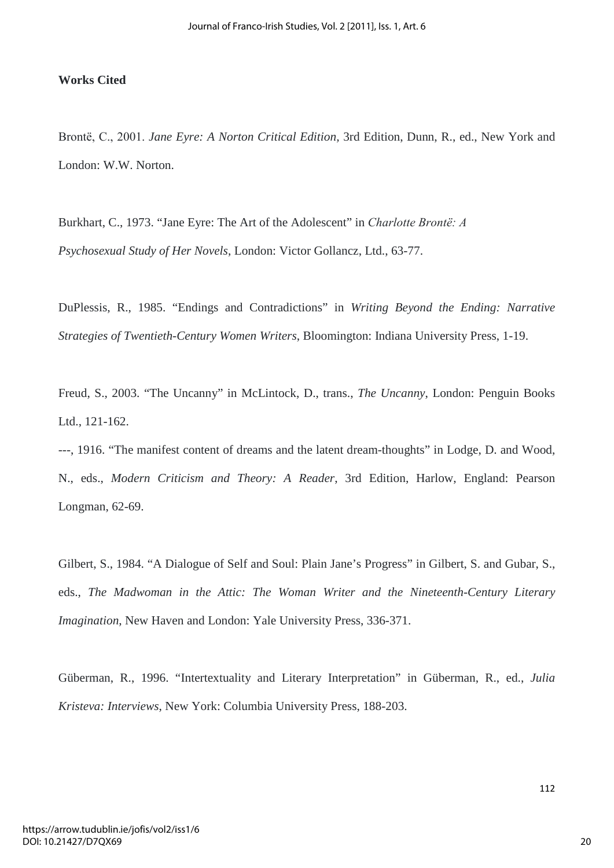## **Works Cited**

Brontё, C., 2001. *Jane Eyre: A Norton Critical Edition,* 3rd Edition, Dunn, R., ed., New York and London: W.W. Norton.

Burkhart, C., 1973. "Jane Eyre: The Art of the Adolescent" in *Charlotte Brontё: A Psychosexual Study of Her Novels*, London: Victor Gollancz, Ltd., 63-77.

DuPlessis, R., 1985. "Endings and Contradictions" in *Writing Beyond the Ending: Narrative Strategies of Twentieth-Century Women Writers*, Bloomington: Indiana University Press, 1-19.

Freud, S., 2003. "The Uncanny" in McLintock, D., trans., *The Uncanny*, London: Penguin Books Ltd., 121-162.

---, 1916. "The manifest content of dreams and the latent dream-thoughts" in Lodge, D. and Wood, N., eds., *Modern Criticism and Theory: A Reader*, 3rd Edition, Harlow, England: Pearson Longman, 62-69.

Gilbert, S., 1984. "A Dialogue of Self and Soul: Plain Jane's Progress" in Gilbert, S. and Gubar, S., eds., *The Madwoman in the Attic: The Woman Writer and the Nineteenth-Century Literary Imagination*, New Haven and London: Yale University Press, 336-371.

Güberman, R., 1996. "Intertextuality and Literary Interpretation" in Güberman, R., ed., *Julia Kristeva: Interviews*, New York: Columbia University Press, 188-203.